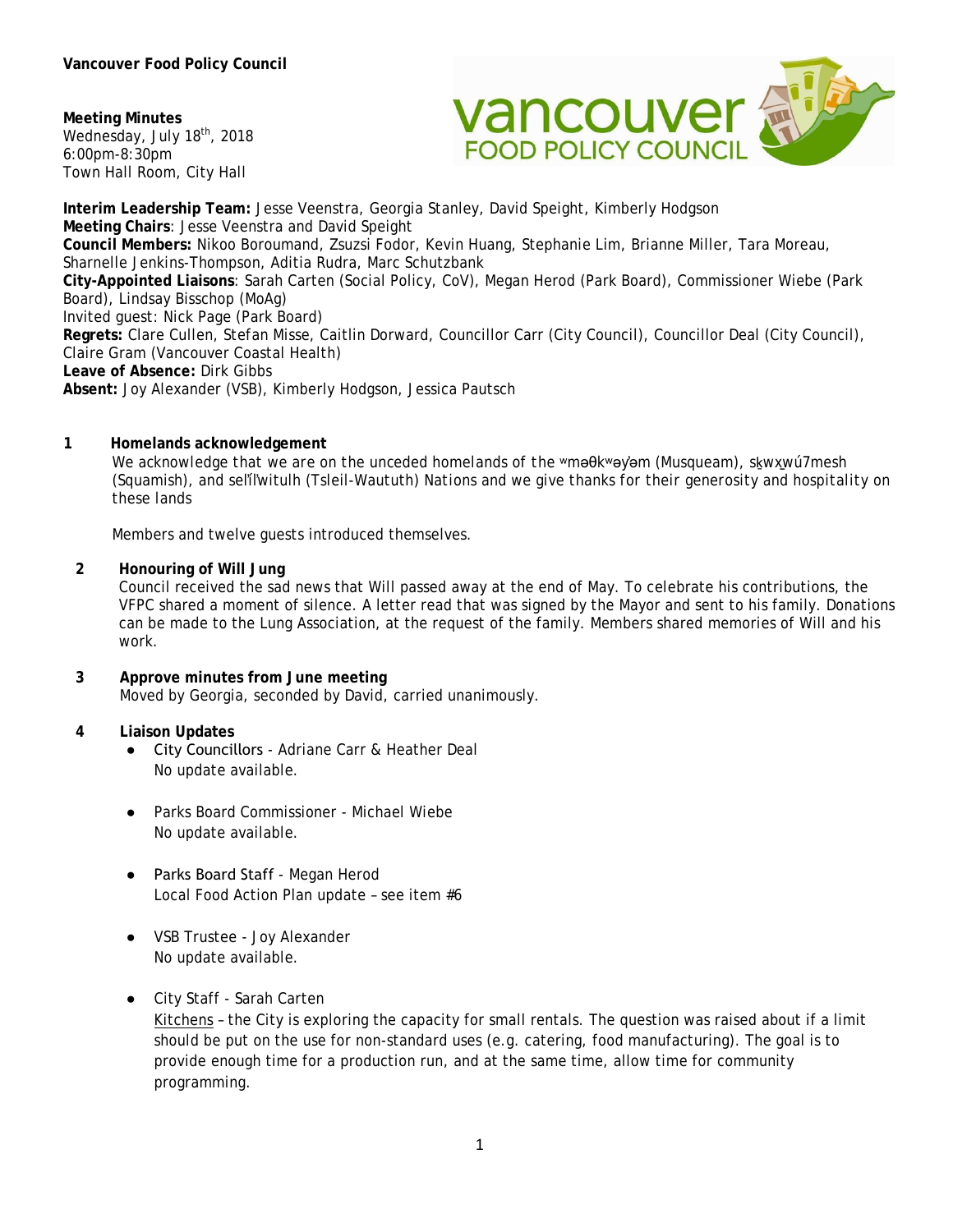**Meeting Minutes** Wednesday, July 18<sup>th</sup>, 2018 6:00pm-8:30pm Town Hall Room, City Hall



**Interim Leadership Team:** Jesse Veenstra, Georgia Stanley, David Speight, Kimberly Hodgson **Meeting Chairs**: Jesse Veenstra and David Speight **Council Members:** Nikoo Boroumand, Zsuzsi Fodor, Kevin Huang, Stephanie Lim, Brianne Miller, Tara Moreau, Sharnelle Jenkins-Thompson, Aditia Rudra, Marc Schutzbank **City-Appointed Liaisons**: Sarah Carten (Social Policy, CoV), Megan Herod (Park Board), Commissioner Wiebe (Park Board), Lindsay Bisschop (MoAg) Invited guest: Nick Page (Park Board) **Regrets:** Clare Cullen, Stefan Misse, Caitlin Dorward, Councillor Carr (City Council), Councillor Deal (City Council), Claire Gram (Vancouver Coastal Health) **Leave of Absence:** Dirk Gibbs **Absent:** Joy Alexander (VSB), Kimberly Hodgson, Jessica Pautsch

## **1 Homelands acknowledgement**

*We acknowledge that we are on the unceded homelands of the* ʷməθkʷəy̓əm (Musqueam), sḵwx̱wú7mesh (Squamish), and sel̓íl̓witulh (Tsleil-Waututh) *Nations and we give thanks for their generosity and hospitality on these lands*

Members and twelve guests introduced themselves.

#### **2 Honouring of Will Jung**

Council received the sad news that Will passed away at the end of May. To celebrate his contributions, the VFPC shared a moment of silence. A letter read that was signed by the Mayor and sent to his family. Donations can be made to the Lung Association, at the request of the family. Members shared memories of Will and his work.

**3 Approve minutes from June meeting**  Moved by Georgia, seconded by David, carried unanimously.

#### **4 Liaison Updates**

- City Councillors Adriane Carr & Heather Deal No update available.
- Parks Board Commissioner Michael Wiebe No update available.
- Parks Board Staff Megan Herod Local Food Action Plan update – see item #6
- VSB Trustee Joy Alexander No update available.

#### ● City Staff - Sarah Carten

Kitchens – the City is exploring the capacity for small rentals. The question was raised about if a limit should be put on the use for non-standard uses (e.g. catering, food manufacturing). The goal is to provide enough time for a production run, and at the same time, allow time for community programming.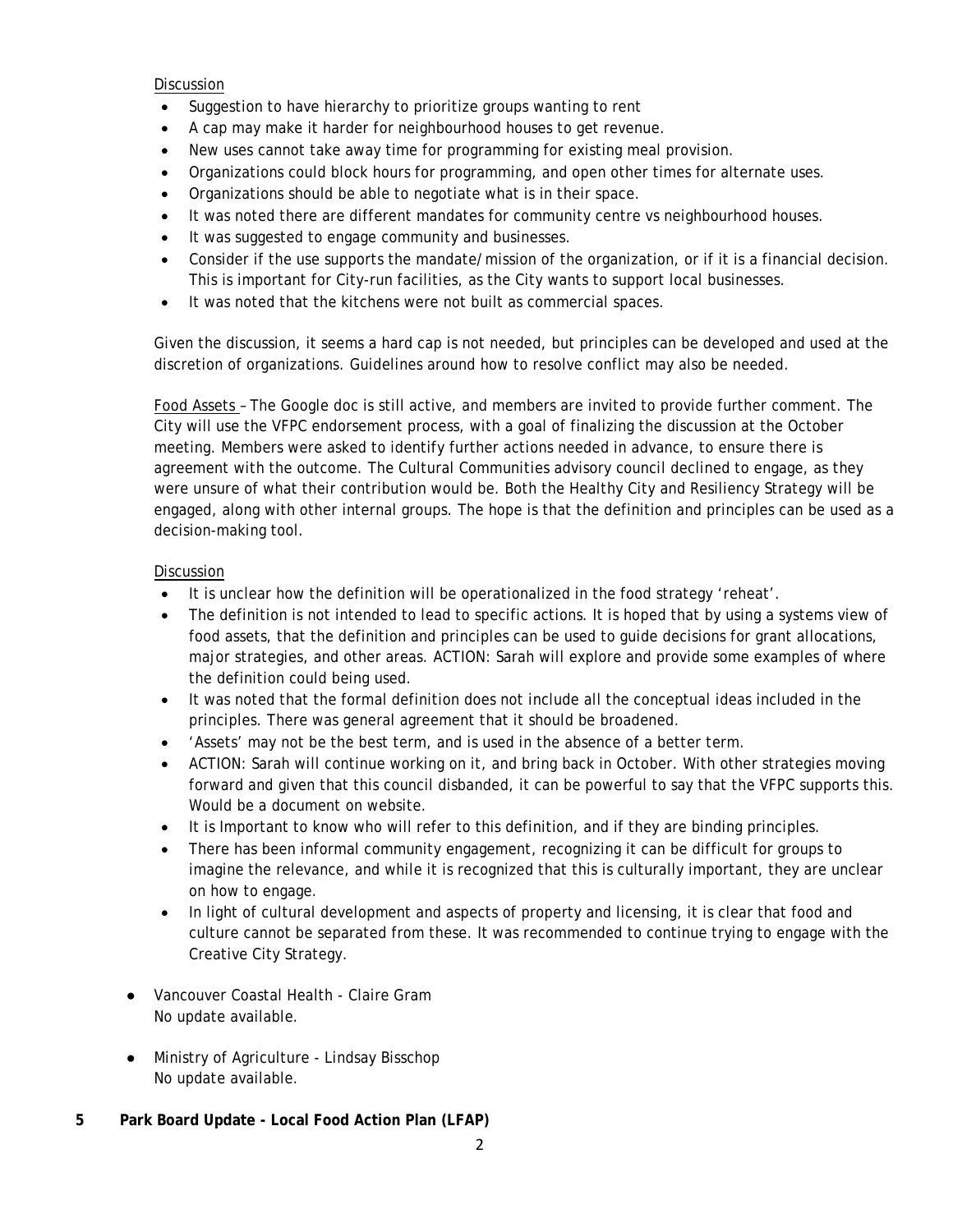### Discussion

- Suggestion to have hierarchy to prioritize groups wanting to rent
- A cap may make it harder for neighbourhood houses to get revenue.
- New uses cannot take away time for programming for existing meal provision.
- Organizations could block hours for programming, and open other times for alternate uses.
- Organizations should be able to negotiate what is in their space.
- It was noted there are different mandates for community centre vs neighbourhood houses.
- It was suggested to engage community and businesses.
- Consider if the use supports the mandate/mission of the organization, or if it is a financial decision. This is important for City-run facilities, as the City wants to support local businesses.
- It was noted that the kitchens were not built as commercial spaces.

Given the discussion, it seems a hard cap is not needed, but principles can be developed and used at the discretion of organizations. Guidelines around how to resolve conflict may also be needed.

Food Assets – The Google doc is still active, and members are invited to provide further comment. The City will use the VFPC endorsement process, with a goal of finalizing the discussion at the October meeting. Members were asked to identify further actions needed in advance, to ensure there is agreement with the outcome. The Cultural Communities advisory council declined to engage, as they were unsure of what their contribution would be. Both the Healthy City and Resiliency Strategy will be engaged, along with other internal groups. The hope is that the definition and principles can be used as a decision-making tool.

# **Discussion**

- It is unclear how the definition will be operationalized in the food strategy 'reheat'.
- The definition is not intended to lead to specific actions. It is hoped that by using a systems view of food assets, that the definition and principles can be used to guide decisions for grant allocations, major strategies, and other areas. ACTION: Sarah will explore and provide some examples of where the definition could being used.
- It was noted that the formal definition does not include all the conceptual ideas included in the principles. There was general agreement that it should be broadened.
- 'Assets' may not be the best term, and is used in the absence of a better term.
- ACTION: Sarah will continue working on it, and bring back in October. With other strategies moving forward and given that this council disbanded, it can be powerful to say that the VFPC supports this. Would be a document on website.
- It is Important to know who will refer to this definition, and if they are binding principles.
- There has been informal community engagement, recognizing it can be difficult for groups to imagine the relevance, and while it is recognized that this is culturally important, they are unclear on how to engage.
- In light of cultural development and aspects of property and licensing, it is clear that food and culture cannot be separated from these. It was recommended to continue trying to engage with the Creative City Strategy.
- Vancouver Coastal Health Claire Gram No update available.
- Ministry of Agriculture Lindsay Bisschop No update available.
- **5 Park Board Update - Local Food Action Plan (LFAP)**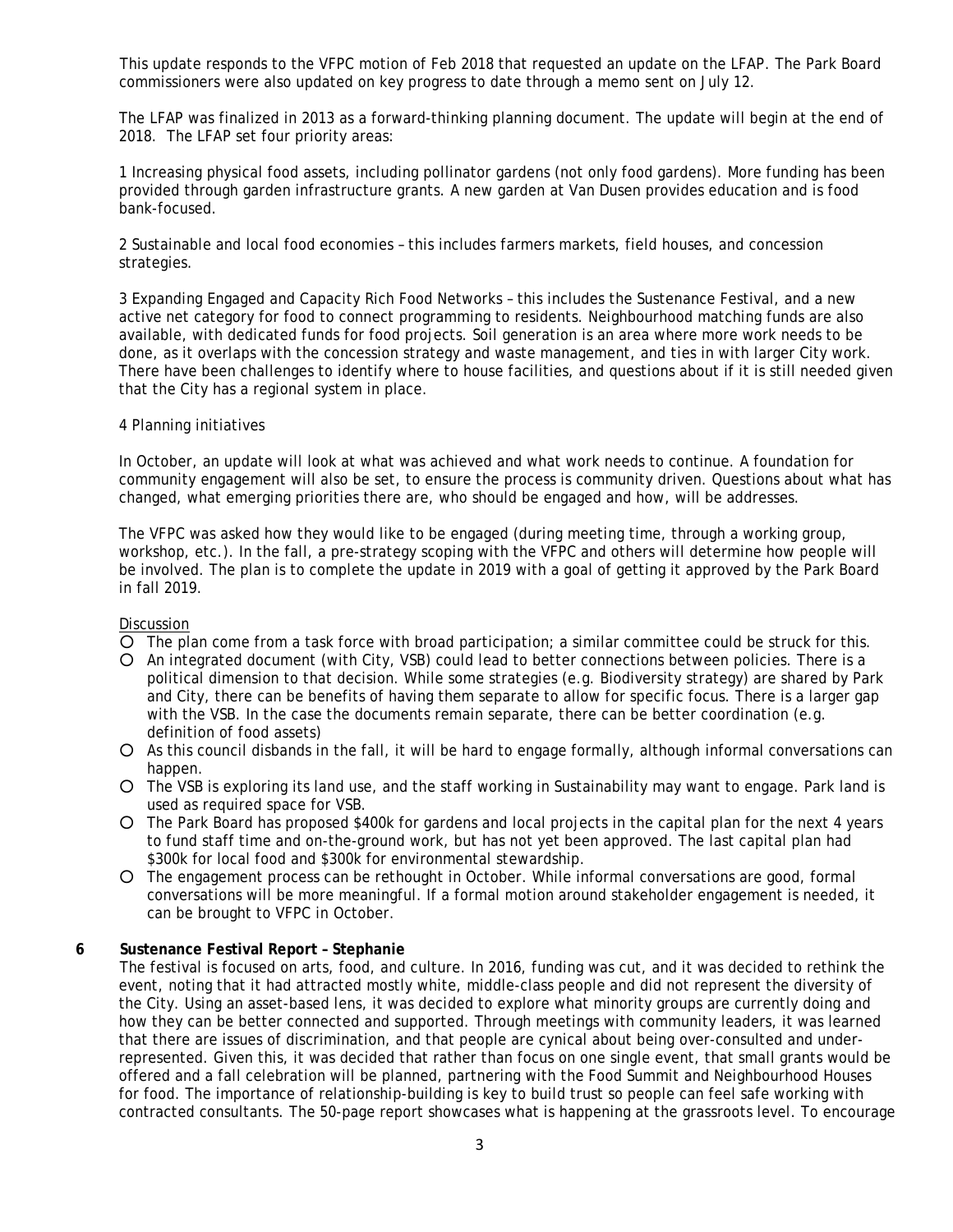This update responds to the VFPC motion of Feb 2018 that requested an update on the LFAP. The Park Board commissioners were also updated on key progress to date through a memo sent on July 12.

The LFAP was finalized in 2013 as a forward-thinking planning document. The update will begin at the end of 2018. The LFAP set four priority areas:

1 Increasing physical food assets, including pollinator gardens (not only food gardens). More funding has been provided through garden infrastructure grants. A new garden at Van Dusen provides education and is food bank-focused.

2 Sustainable and local food economies – this includes farmers markets, field houses, and concession strategies.

3 Expanding Engaged and Capacity Rich Food Networks – this includes the Sustenance Festival, and a new active net category for food to connect programming to residents. Neighbourhood matching funds are also available, with dedicated funds for food projects. Soil generation is an area where more work needs to be done, as it overlaps with the concession strategy and waste management, and ties in with larger City work. There have been challenges to identify where to house facilities, and questions about if it is still needed given that the City has a regional system in place.

#### 4 Planning initiatives

In October, an update will look at what was achieved and what work needs to continue. A foundation for community engagement will also be set, to ensure the process is community driven. Questions about what has changed, what emerging priorities there are, who should be engaged and how, will be addresses.

The VFPC was asked how they would like to be engaged (during meeting time, through a working group, workshop, etc.). In the fall, a pre-strategy scoping with the VFPC and others will determine how people will be involved. The plan is to complete the update in 2019 with a goal of getting it approved by the Park Board in fall 2019.

#### Discussion

- O The plan come from a task force with broad participation; a similar committee could be struck for this.
- An integrated document (with City, VSB) could lead to better connections between policies. There is a political dimension to that decision. While some strategies (e.g. Biodiversity strategy) are shared by Park and City, there can be benefits of having them separate to allow for specific focus. There is a larger gap with the VSB. In the case the documents remain separate, there can be better coordination (e.g. definition of food assets)
- As this council disbands in the fall, it will be hard to engage formally, although informal conversations can happen.
- The VSB is exploring its land use, and the staff working in Sustainability may want to engage. Park land is used as required space for VSB.
- The Park Board has proposed \$400k for gardens and local projects in the capital plan for the next 4 years to fund staff time and on-the-ground work, but has not yet been approved. The last capital plan had \$300k for local food and \$300k for environmental stewardship.
- The engagement process can be rethought in October. While informal conversations are good, formal conversations will be more meaningful. If a formal motion around stakeholder engagement is needed, it can be brought to VFPC in October.

#### **6 Sustenance Festival Report – Stephanie**

The festival is focused on arts, food, and culture. In 2016, funding was cut, and it was decided to rethink the event, noting that it had attracted mostly white, middle-class people and did not represent the diversity of the City. Using an asset-based lens, it was decided to explore what minority groups are currently doing and how they can be better connected and supported. Through meetings with community leaders, it was learned that there are issues of discrimination, and that people are cynical about being over-consulted and underrepresented. Given this, it was decided that rather than focus on one single event, that small grants would be offered and a fall celebration will be planned, partnering with the Food Summit and Neighbourhood Houses for food. The importance of relationship-building is key to build trust so people can feel safe working with contracted consultants. The 50-page report showcases what is happening at the grassroots level. To encourage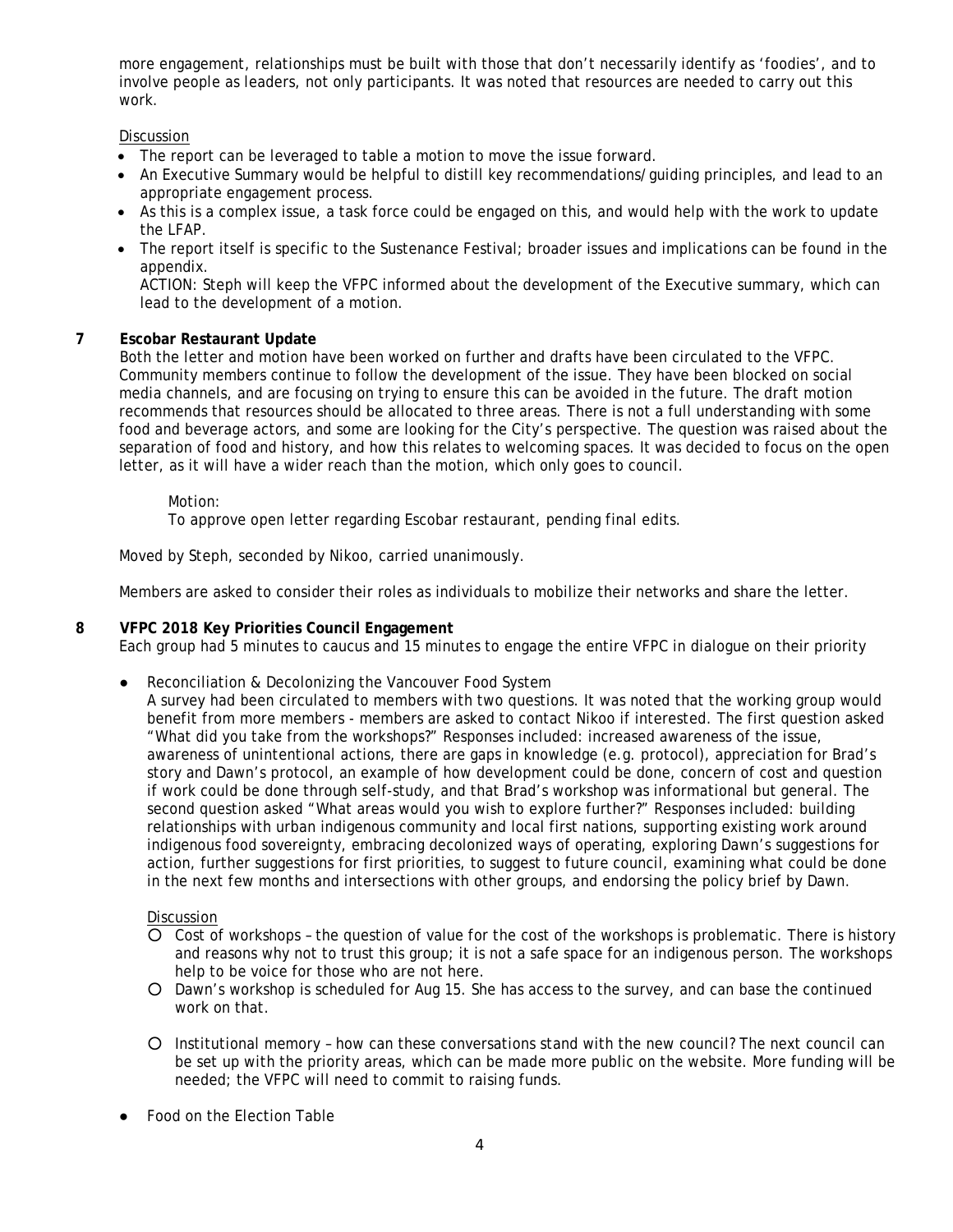more engagement, relationships must be built with those that don't necessarily identify as 'foodies', and to involve people as leaders, not only participants. It was noted that resources are needed to carry out this work.

### Discussion

- The report can be leveraged to table a motion to move the issue forward.
- An Executive Summary would be helpful to distill key recommendations/guiding principles, and lead to an appropriate engagement process.
- As this is a complex issue, a task force could be engaged on this, and would help with the work to update the LFAP.
- The report itself is specific to the Sustenance Festival; broader issues and implications can be found in the appendix.

ACTION: Steph will keep the VFPC informed about the development of the Executive summary, which can lead to the development of a motion.

# **7 Escobar Restaurant Update**

Both the letter and motion have been worked on further and drafts have been circulated to the VFPC. Community members continue to follow the development of the issue. They have been blocked on social media channels, and are focusing on trying to ensure this can be avoided in the future. The draft motion recommends that resources should be allocated to three areas. There is not a full understanding with some food and beverage actors, and some are looking for the City's perspective. The question was raised about the separation of food and history, and how this relates to welcoming spaces. It was decided to focus on the open letter, as it will have a wider reach than the motion, which only goes to council.

Motion:

To approve open letter regarding Escobar restaurant, pending final edits.

Moved by Steph, seconded by Nikoo, carried unanimously.

Members are asked to consider their roles as individuals to mobilize their networks and share the letter.

# **8 VFPC 2018 Key Priorities Council Engagement**

Each group had 5 minutes to caucus and 15 minutes to engage the entire VFPC in dialogue on their priority

● Reconciliation & Decolonizing the Vancouver Food System

A survey had been circulated to members with two questions. It was noted that the working group would benefit from more members - members are asked to contact Nikoo if interested. The first question asked "What did you take from the workshops?" Responses included: increased awareness of the issue, awareness of unintentional actions, there are gaps in knowledge (e.g. protocol), appreciation for Brad's story and Dawn's protocol, an example of how development could be done, concern of cost and question if work could be done through self-study, and that Brad's workshop was informational but general. The second question asked "What areas would you wish to explore further?" Responses included: building relationships with urban indigenous community and local first nations, supporting existing work around indigenous food sovereignty, embracing decolonized ways of operating, exploring Dawn's suggestions for action, further suggestions for first priorities, to suggest to future council, examining what could be done in the next few months and intersections with other groups, and endorsing the policy brief by Dawn.

#### Discussion

- Cost of workshops the question of value for the cost of the workshops is problematic. There is history and reasons why not to trust this group; it is not a safe space for an indigenous person. The workshops help to be voice for those who are not here.
- Dawn's workshop is scheduled for Aug 15. She has access to the survey, and can base the continued work on that.
- Institutional memory how can these conversations stand with the new council? The next council can be set up with the priority areas, which can be made more public on the website. More funding will be needed; the VFPC will need to commit to raising funds.
- Food on the Election Table